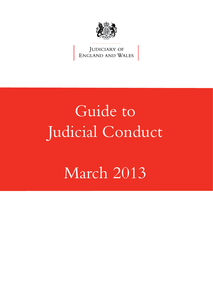

JUDICIARY OF<br>ENGLAND AND WALES

# Guide to Judicial Conduct

# March 2013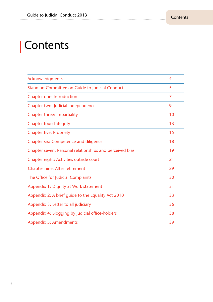#### **Contents**

## Contents

 $\ddotsc$ 

| Acknowledgments                                          | 4  |
|----------------------------------------------------------|----|
| <b>Standing Committee on Guide to Judicial Conduct</b>   | 5  |
| <b>Chapter one: Introduction</b>                         | 7  |
| Chapter two: Judicial independence                       | 9  |
| <b>Chapter three: Impartiality</b>                       | 10 |
| <b>Chapter four: Integrity</b>                           | 13 |
| <b>Chapter five: Propriety</b>                           | 15 |
| <b>Chapter six: Competence and diligence</b>             | 18 |
| Chapter seven: Personal relationships and perceived bias | 19 |
| Chapter eight: Activities outside court                  | 21 |
| Chapter nine: After retirement                           | 29 |
| The Office for Judicial Complaints                       | 30 |
| Appendix 1: Dignity at Work statement                    | 31 |
| Appendix 2: A brief guide to the Equality Act 2010       | 33 |
| Appendix 3: Letter to all judiciary                      | 36 |
| Appendix 4: Blogging by judicial office-holders          | 38 |
| Appendix 5: Amendments                                   | 39 |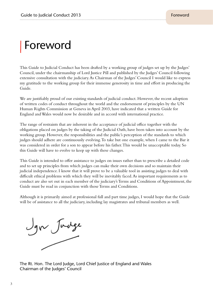## Foreword

This Guide to Judicial Conduct has been drafted by a working group of judges set up by the Judges' Council, under the chairmanship of Lord Justice Pill and published by the Judges' Council following extensive consultation with the judiciary. As Chairman of the Judges' Council I would like to express my gratitude to the working group for their immense generosity in time and effort in producing the Guide.

We are justifiably proud of our existing standards of judicial conduct. However, the recent adoption of written codes of conduct throughout the world and the endorsement of principles by the UN Human Rights Commission at Geneva in April 2003, have indicated that a written Guide for England and Wales would now be desirable and in accord with international practice.

The range of restraints that are inherent in the acceptance of judicial office together with the obligations placed on judges by the taking of the Judicial Oath, have been taken into account by the working group. However, the responsibilities and the public's perception of the standards to which judges should adhere are continuously evolving. To take but one example, when I came to the Bar it was considered in order for a son to appear before his father. This would be unacceptable today. So this Guide will have to evolve to keep up with these changes.

This Guide is intended to offer assistance to judges on issues rather than to prescribe a detailed code and to set up principles from which judges can make their own decisions and so maintain their judicial independence. I know that it will prove to be a valuable tool in assisting judges to deal with difficult ethical problems with which they will be inevitably faced. As important requirements as to conduct are also set out in each member of the judiciary's Terms and Conditions of Appointment, the Guide must be read in conjunction with those Terms and Conditions.

Although it is primarily aimed at professional full and part time judges, I would hope that the Guide will be of assistance to all the judiciary, including lay magistrates and tribunal members as well.

You Judge

The Rt. Hon. The Lord Judge, Lord Chief Justice of England and Wales Chairman of the Judges' Council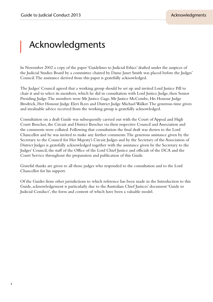### <span id="page-3-0"></span>Acknowledgments

In November 2002 a copy of the paper 'Guidelines to Judicial Ethics' drafted under the auspices of the Judicial Studies Board by a committee chaired by Dame Janet Smith was placed before the Judges' Council. The assistance derived from this paper is gratefully acknowledged.

The Judges' Council agreed that a working group should be set up and invited Lord Justice Pill to chair it and to select its members, which he did in consultation with Lord Justice Judge, then Senior Presiding Judge. The members were Mr Justice Gage, Mr Justice McCombe, His Honour Judge Brodrick, Her Honour Judge Eleri Rees and District Judge Michael Walker. The generous time given and invaluable advice received from the working group is gratefully acknowledged.

Consultation on a draft Guide was subsequently carried out with the Court of Appeal and High Court Benches, the Circuit and District Benches via their respective Council and Association and the comments were collated. Following that consultation the final draft was shown to the Lord Chancellor and he was invited to make any further comments. The generous assistance given by the Secretary to the Council for Her Majesty's Circuit Judges and by the Secretary of the Association of District Judges is gratefully acknowledged together with the assistance given by the Secretary to the Judges' Council, the staff of the Office of the Lord Chief Justice and officials of the DCA and the Court Service throughout the preparation and publication of this Guide.

Grateful thanks are given to all those judges who responded to the consultation and to the Lord Chancellor for his support.

Of the Guides from other jurisdictions to which reference has been made in the Introduction to this Guide, acknowledgement is particularly due to the Australian Chief Justices' document 'Guide to Judicial Conduct', the form and content of which have been a valuable model.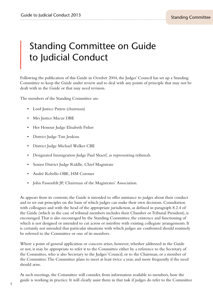### <span id="page-4-0"></span>Standing Committee on Guide to Judicial Conduct

Following the publication of this Guide in October 2004, the Judges' Council has set up a Standing Committee to keep the Guide under review and to deal with any points of principle that may not be dealt with in the Guide or that may need revision.

The members of the Standing Committee are:

- • Lord Justice Patten (chairman)
- Mrs Justice Macur DBE
- Her Honour Judge Elisabeth Fisher
- District Judge Tim Jenkins
- District Judge Michael Walker CBE
- Designated Immigration Judge Paul Shaerf, as representing tribunals
- Senior District Judge Riddle, Chief Magistrate
- André Rebello OBE, HM Coroner
- John Fassenfelt JP, Chairman of the Magistrates' Association.

As appears from its contents, the Guide is intended to offer assistance to judges about their conduct and to set out principles on the basis of which judges can make their own decisions. Consultation with colleagues and with the head of the appropriate jurisdiction, as defined in paragraph 8.2.4 of the Guide (which in the case of tribunal members includes their Chamber or Tribunal President), is encouraged. That is also encouraged by the Standing Committee, the existence and functioning of which is not designed or intended to cut across or interfere with existing collegiate arrangements. It is certainly not intended that particular situations with which judges are confronted should routinely be referred to the Committee or one of its members.

Where a point of general application or concern arises, however, whether addressed in the Guide or not, it may be appropriate to refer it to the Committee either by a reference to the Secretary of the Committee, who is also Secretary to the Judges' Council, or to the Chairman, or a member of the Committee. The Committee plans to meet at least twice a year, and more frequently if the need should arise.

At such meetings, the Committee will consider, from information available to members, how the guide is working in practice. It will clearly assist them in that task if judges do refer to the Committee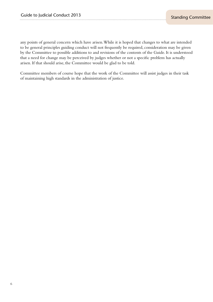any points of general concern which have arisen. While it is hoped that changes to what are intended to be general principles guiding conduct will not frequently be required, consideration may be given by the Committee to possible additions to and revisions of the contents of the Guide. It is understood that a need for change may be perceived by judges whether or not a specific problem has actually arisen. If that should arise, the Committee would be glad to be told.

Committee members of course hope that the work of the Committee will assist judges in their task of maintaining high standards in the administration of justice.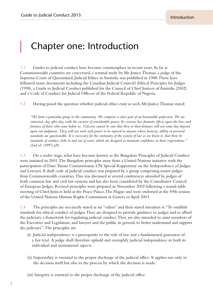### <span id="page-6-0"></span>Chapter one: Introduction

1.1 Guides to judicial conduct have become commonplace in recent years. As far as Commonwealth countries are concerned, a seminal study by Mr Justice Thomas, a judge of the Supreme Court of Queensland, Judicial Ethics in Australia was published in 1988. There have followed many documents including the Canadian Judicial Council's Ethical Principles for Judges (1998), a Guide to Judicial Conduct published for the Council of Chief Justices of Australia (2002) and a Code of Conduct for Judicial Officers of the Federal Republic of Nigeria.

1.2 Having posed the question whether judicial ethics exist as such, Mr Justice Thomas stated:

*"We form a particular group in the community. We comprise a select part of an honourable profession. We are entrusted, day after day, with the exercise of considerable power. Its exercise has dramatic effects upon the lives and fortunes of those who come before us. Citizens cannot be sure that they or their fortunes will not some day depend upon our judgment. They will not wish such power to be reposed in anyone whose honesty, ability or personal standards are questionable. It is necessary for the continuity of the system of law as we know it, that there be standards of conduct, both in and out of court, which are designed to maintain confidence in those expectations." (2nd ed. (1997) p9).* 

1.3 On a wider stage, what have become known as the Bangalore Principles of Judicial Conduct were initiated in 2001. The Bangalore principles arose from a United Nations initiative with the participation of Dato' Param Cumaraswamy, UN Special Rapporteur on the Independence of Judges and Lawyers. A draft code of judicial conduct was prepared by a group comprising senior judges from Commonwealth countries. This was discussed at several conferences attended by judges of both common law and civil law systems and has also been considered by the Consultative Council of European Judges. Revised principles were prepared in November 2002 following a round-table meeting of Chief Justices held at the Peace Palace, The Hague and were endorsed at the 59th session of the United Nations Human Rights Commission at Geneva in April 2003.

1.4 The principles are succinctly stated as six "values" and their stated intention is: "To establish standards for ethical conduct of judges. They are designed to provide guidance to judges and to afford the judiciary a framework for regulating judicial conduct. They are also intended to assist members of the Executive and Legislature, and lawyers and the public in general, to better understand and support the judiciary". The principles are:

- (i) Judicial independence is a prerequisite to the rule of law and a fundamental guarantee of a fair trial. A judge shall therefore uphold and exemplify judicial independence in both its individual and institutional aspects.
- (ii) Impartiality is essential to the proper discharge of the judicial office. It applies not only to the decision itself but also to the process by which the decision is made.
- (iii) Integrity is essential to the proper discharge of the judicial office.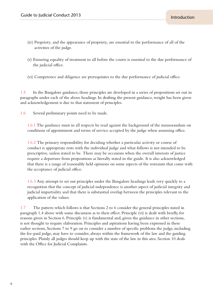- (iv) Propriety, and the appearance of propriety, are essential to the performance of all of the activities of the judge.
- (v) Ensuring equality of treatment to all before the courts is essential to the due performance of the judicial office.
- (vi) Competence and diligence are prerequisites to the due performance of judicial office.

1.5 In the Bangalore guidance, those principles are developed in a series of propositions set out in paragraphs under each of the above headings. In drafting the present guidance, weight has been given and acknowledgement is due to that statement of principles.

1.6 Several preliminary points need to be made.

1.6.1 The guidance must in all respects be read against the background of the memorandum on conditions of appointment and terms of service accepted by the judge when assuming office.

1.6.2 The primary responsibility for deciding whether a particular activity or course of conduct is appropriate rests with the individual judge and what follows is not intended to be prescriptive, unless stated to be. There may be occasions when the overall interests of justice require a departure from propositions as literally stated in the guide. It is also acknowledged that there is a range of reasonably held opinions on some aspects of the restraints that come with the acceptance of judicial office.

1.6.3 Any attempt to set out principles under the Bangalore headings leads very quickly to a recognition that the concept of judicial independence is another aspect of judicial integrity and judicial impartiality and that there is substantial overlap between the principles relevant to the application of the values.

1.7 The pattern which follows is that Sections 2 to 6 consider the general principles stated in paragraph 1.4 above with some discussion as to their effect. Principle (vi) is dealt with briefly, for reasons given in Section 6. Principle (v) is fundamental and, given the guidance in other sections, is not thought to require elaboration. Principles and aspirations having been expressed in these earlier sections, Sections 7 to 9 go on to consider a number of specific problems the judge, including the fee-paid judge, may have to consider, always within the framework of the law and the guiding principles. Plainly all judges should keep up with the state of the law in this area. Section 10 deals with the Office for Judicial Complaints.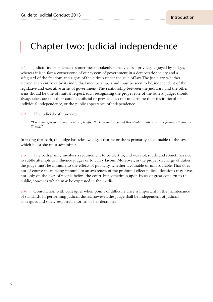### <span id="page-8-0"></span>Chapter two: Judicial independence

2.1 Judicial independence is sometimes mistakenly perceived as a privilege enjoyed by judges, whereas it is in fact a cornerstone of our system of government in a democratic society and a safeguard of the freedom and rights of the citizen under the rule of law. The judiciary, whether viewed as an entity or by its individual membership, is and must be seen to be, independent of the legislative and executive arms of government. The relationship between the judiciary and the other arms should be one of mutual respect, each recognising the proper role of the others. Judges should always take care that their conduct, official or private, does not undermine their institutional or individual independence, or the public appearance of independence.

#### 2.2 The judicial oath provides:

*"I will do right to all manner of people after the laws and usages of this Realm, without fear or favour, affection or ill-will."* 

In taking that oath, the judge has acknowledged that he or she is primarily accountable to the law which he or she must administer.

2.3 The oath plainly involves a requirement to be alert to, and wary of, subtle and sometimes not so subtle attempts to influence judges or to curry favour. Moreover, in the proper discharge of duties, the judge must be immune to the effects of publicity, whether favourable or unfavourable. That does not of course mean being immune to an awareness of the profound effect judicial decisions may have, not only on the lives of people before the court, but sometimes upon issues of great concern to the public, concerns which may be expressed in the media.

2.4 Consultation with colleagues when points of difficulty arise is important in the maintenance of standards. In performing judicial duties, however, the judge shall be independent of judicial colleagues and solely responsible for his or her decisions.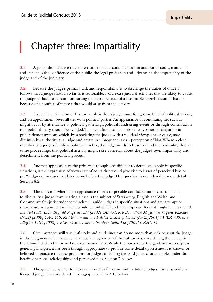### <span id="page-9-0"></span>Chapter three: Impartiality

3.1 A judge should strive to ensure that his or her conduct, both in and out of court, maintains and enhances the confidence of the public, the legal profession and litigants, in the impartiality of the judge and of the judiciary.

3.2 Because the judge's primary task and responsibility is to discharge the duties of office, it follows that a judge should, so far as is reasonable, avoid extra-judicial activities that are likely to cause the judge to have to refrain from sitting on a case because of a reasonable apprehension of bias or because of a conflict of interest that would arise from the activity.

3.3 A specific application of that principle is that a judge must forego any kind of political activity and on appointment sever all ties with political parties. An appearance of continuing ties such as might occur by attendance at political gatherings, political fundraising events or through contribution to a political party, should be avoided. The need for abstinence also involves not participating in public demonstrations which, by associating the judge with a political viewpoint or cause, may diminish his authority as a judge and create in subsequent cases a perception of bias. Where a close member of a judge's family is politically active, the judge needs to bear in mind the possibility that, in some proceedings, that political activity might raise concerns about the judge's own impartiality and detachment from the political process.

3.4 Another application of the principle, though one difficult to define and apply in specific situations, is the expression of views out of court that would give rise to issues of perceived bias or pre¬judgment in cases that later come before the judge. This question is considered in more detail in Section 8.2.

3.5 The question whether an appearance of bias or possible conflict of interest is sufficient to disqualify a judge from hearing a case is the subject of Strasbourg, English and Welsh, and Commonwealth jurisprudence which will guide judges in specific situations and any attempt to summarise, or comment in detail, would be unhelpful and inappropriate. Recent English cases include *Locobail (UK) Ltd v Bayfield Properties Ltd [2002] QB 451*, *R v Bow Street Magistrates ex parte Pinochet (No.2) [2000] 1 AC 119, Re Medicaments and Related Classes of Goods (No.2)[2001] 1 WLR 700, M v Islington LBC [2002] 1 FLR 95* and *Lawal v Northern Spirit Ltd [2003] UKHL 35*.

3.6 Circumstances will vary infinitely and guidelines can do no more than seek to assist the judge in the judgment to be made, which involves, by virtue of the authorities, considering the perception the fair-minded and informed observer would have. While the purpose of the guidance is to express general principles, it has been thought appropriate to provide some detail upon issues it is known or believed in practice to cause problems for judges, including fee-paid judges, for example, under the heading personal relationships and perceived bias, Section 7 below.

3.7 The guidance applies to fee-paid as well as full-time and part-time judges. Issues specific to fee-paid judges are considered in paragraphs 3.15 to 3.18 below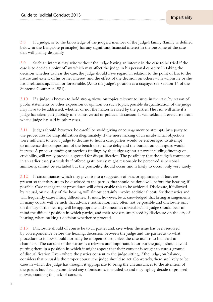3.8 If a judge, or to the knowledge of the judge, a member of the judge's family (family as defined below in the Bangalore principles) has any significant financial interest in the outcome of the case that will plainly disqualify.

3.9 Such an interest may arise without the judge having an interest in the case to be tried if the case is to decide a point of law which may affect the judge in his personal capacity. In taking the decision whether to hear the case, the judge should have regard, in relation to the point of law, to the nature and extent of his or her interest, and the effect of the decision on others with whom he or she has a relationship, actual or foreseeable. (As to the judge's position as a taxpayer see Section 14 of the Supreme Court Act 1981).

3.10 If a judge is known to hold strong views on topics relevant to issues in the case, by reason of public statements or other expression of opinion on such topics, possible disqualification of the judge may have to be addressed, whether or not the matter is raised by the parties. The risk will arise if a judge has taken part publicly in a controversial or political discussion. It will seldom, if ever, arise from what a judge has said in other cases.

3.11 Judges should, however, be careful to avoid giving encouragement to attempts by a party to use procedures for disqualification illegitimately. If the mere making of an insubstantial objection were sufficient to lead a judge to decline to hear a case, parties would be encouraged to attempt to influence the composition of the bench or to cause delay and the burden on colleagues would increase. A previous finding or previous findings by the judge against a party, including findings on credibility, will rarely provide a ground for disqualification. The possibility that the judge's comments in an earlier case, particularly if offered gratuitously, might reasonably be perceived as personal animosity, cannot be excluded but the possibility should occur, and is likely to occur, only very rarely.

3.12 If circumstances which may give rise to a suggestion of bias, or appearance of bias, are present so that they are to be disclosed to the parties, that should be done well before the hearing, if possible. Case management procedures will often enable this to be achieved. Disclosure, if followed by recusal, on the day of the hearing will almost certainly involve additional costs for the parties and will frequently cause listing difficulties. It must, however, be acknowledged that listing arrangements in many courts will be such that advance notification may often not be possible and disclosure only on the day of the hearing will be appropriate and sometimes inevitable. The judge should bear in mind the difficult position in which parties, and their advisers, are placed by disclosure on the day of hearing, when making a decision whether to proceed.

3.13 Disclosure should of course be to all parties and, save when the issue has been resolved by correspondence before the hearing, discussion between the judge and the parties as to what procedure to follow should normally be in open court, unless the case itself is to be heard in chambers. The consent of the parties is a relevant and important factor but the judge should avoid putting them in a position in which it might appear that their consent is sought to cure a ground of disqualification. Even where the parties consent to the judge sitting, if the judge, on balance, considers that recusal is the proper course, the judge should so act. Conversely, there are likely to be cases in which the judge has thought it appropriate to bring the circumstances to the attention of the parties but, having considered any submissions, is entitled to and may rightly decide to proceed notwithstanding the lack of consent.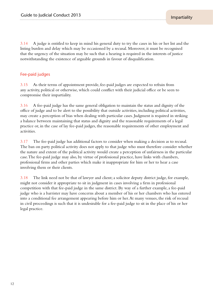3.14 A judge is entitled to keep in mind his general duty to try the cases in his or her list and the listing burden and delay which may be occasioned by a recusal. Moreover, it must be recognised that the urgency of the situation may be such that a hearing is required in the interests of justice notwithstanding the existence of arguable grounds in favour of disqualification.

#### Fee-paid judges

3.15 As their terms of appointment provide, fee-paid judges are expected to refrain from any activity, political or otherwise, which could conflict with their judicial office or be seen to compromise their impartiality.

3.16 A fee-paid judge has the same general obligation to maintain the status and dignity of the office of judge and to be alert to the possibility that outside activities, including political activities, may create a perception of bias when dealing with particular cases. Judgment is required in striking a balance between maintaining that status and dignity and the reasonable requirements of a legal practice or, in the case of lay fee-paid judges, the reasonable requirements of other employment and activities.

3.17 The fee-paid judge has additional factors to consider when making a decision as to recusal. The ban on party political activity does not apply to that judge who must therefore consider whether the nature and extent of the political activity would create a perception of unfairness in the particular case. The fee-paid judge may also, by virtue of professional practice, have links with chambers, professional firms and other parties which make it inappropriate for him or her to hear a case involving them or their clients.

3.18 The link need not be that of lawyer and client; a solicitor deputy district judge, for example, might not consider it appropriate to sit in judgment in cases involving a firm in professional competition with that fee-paid judge in the same district. By way of a further example, a fee-paid judge who is a barrister may have concerns about a member of his or her chambers who has entered into a conditional fee arrangement appearing before him or her. At many venues, the risk of recusal in civil proceedings is such that it is undesirable for a fee-paid judge to sit in the place of his or her legal practice.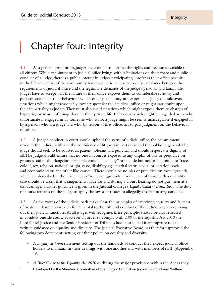### <span id="page-12-0"></span>Chapter four: Integrity

4.1 As a general proposition, judges are entitled to exercise the rights and freedoms available to all citizens. While appointment to judicial office brings with it limitations on the private and public conduct of a judge, there is a public interest in judges participating, insofar as their office permits, in the life and affairs of the community. Moreover, it is necessary to strike a balance between the requirements of judicial office and the legitimate demands of the judge's personal and family life. Judges have to accept that the nature of their office exposes them to considerable scrutiny and puts constraints on their behaviour which other people may not experience. Judges should avoid situations which might reasonably lower respect for their judicial office or might cast doubt upon their impartiality as judges. They must also avoid situations which might expose them to charges of hypocrisy by reason of things done in their private life. Behaviour which might be regarded as merely unfortunate if engaged in by someone who is not a judge might be seen as unacceptable if engaged in by a person who is a judge and who, by reason of that office, has to pass judgment on the behaviour of others.

4.2 A judge's conduct in court should uphold the status of judicial office, the commitment made in the judicial oath and the confidence of litigants in particular and the public in general. The judge should seek to be courteous, patient, tolerant and punctual and should respect the dignity of all. The judge should ensure that no one in court is exposed to any display of bias or prejudice on grounds said in the Bangalore principle entitled "equality" to include but not to be limited to "race, colour, sex, religion, national origin, caste, disability, age, marital status, sexual orientation, social and economic status and other like causes". There should be no bias or prejudice on those grounds, which are described in the principles as "irrelevant grounds". In the case of those with a disability care should be taken that arrangements made for and during a Court hearing do not put them at a disadvantage. Further guidance is given in the Judicial College's *Equal Treatment Bench Book*. The duty of course remains on the judge to apply the law as it relates to allegedly discriminatory conduct.

4.3 As the words of the judicial oath make clear, the principles of exercising equality and fairness of treatment have always been fundamental to the role and conduct of the judiciary when carrying out their judicial functions. As all judges will recognise, these principles should be also reflected in conduct outside court. However, in order to comply with s109 of the Equality Act 2010 the Lord Chief Justice and the Senior President of Tribunals have considered it appropriate to issue written guidance on equality and diversity. The Judicial Executive Board has therefore approved the following two documents setting out their policy on equality and diversity:

- A *Dignity at Work* statement setting out the standards of conduct they expect judicial officeholders to maintain in their dealings with one another and with members of staff (Appendix  $1)^{1}$ .
- A Brief Guide to the Equality Act 2010 outlining the major provisions within the Act as they 1 Developed by the Standing Committee of the Judges' Council on Judicial Support and Welfare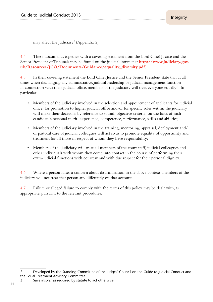may affect the judiciary<sup>2</sup> (Appendix 2).

4.4 These documents, together with a covering statement from the Lord Chief Justice and the Senior President of Tribunals may be found on the judicial intranet at **http://www.judiciary.gov. uk/Resources/JCO/Documents/Guidance/equality\_diversity.pdf**.

4.5 In their covering statement the Lord Chief Justice and the Senior President state that at all times when discharging any administrative, judicial leadership or judicial management function in connection with their judicial office, members of the judiciary will treat everyone equally<sup>3</sup>. In particular:

- Members of the judiciary involved in the selection and appointment of applicants for judicial office, for promotion to higher judicial office and/or for specific roles within the judiciary will make their decisions by reference to sound, objective criteria, on the basis of each candidate's personal merit, experience, competence, performance, skills and abilities;
- Members of the judiciary involved in the training, mentoring, appraisal, deployment and/ or pastoral care of judicial colleagues will act so as to promote equality of opportunity and treatment for all those in respect of whom they have responsibility;
- Members of the judiciary will treat all members of the court staff, judicial colleagues and other individuals with whom they come into contact in the course of performing their extra-judicial functions with courtesy and with due respect for their personal dignity.

4.6 Where a person raises a concern about discrimination in the above context, members of the judiciary will not treat that person any differently on that account.

4.7 Failure or alleged failure to comply with the terms of this policy may be dealt with, as appropriate, pursuant to the relevant procedures.

<sup>2</sup> Developed by the Standing Committee of the Judges' Council on the Guide to Judicial Conduct and the Equal Treatment Advisory Committee

<sup>3</sup> Save insofar as required by statute to act otherwise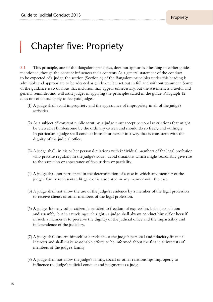### <span id="page-14-0"></span>Chapter five: Propriety

5.1 This principle, one of the Bangalore principles, does not appear as a heading in earlier guides mentioned, though the concept influences their contents. As a general statement of the conduct to be expected of a judge, the section (Section 4) of the Bangalore principles under this heading is admirable and appropriate to be adopted as guidance. It is set out in full and without comment. Some of the guidance is so obvious that inclusion may appear unnecessary, but the statement is a useful and general reminder and will assist judges in applying the principles stated in the guide. Paragraph 12 does not of course apply to fee-paid judges.

- (1) A judge shall avoid impropriety and the appearance of impropriety in all of the judge's activities.
- (2) As a subject of constant public scrutiny, a judge must accept personal restrictions that might be viewed as burdensome by the ordinary citizen and should do so freely and willingly. In particular, a judge shall conduct himself or herself in a way that is consistent with the dignity of the judicial office.
- (3) A judge shall, in his or her personal relations with individual members of the legal profession who practise regularly in the judge's court, avoid situations which might reasonably give rise to the suspicion or appearance of favouritism or partiality.
- (4) A judge shall not participate in the determination of a case in which any member of the judge's family represents a litigant or is associated in any manner with the case.
- (5) A judge shall not allow the use of the judge's residence by a member of the legal profession to receive clients or other members of the legal profession.
- (6) A judge, like any other citizen, is entitled to freedom of expression, belief, association and assembly, but in exercising such rights, a judge shall always conduct himself or herself in such a manner as to preserve the dignity of the judicial office and the impartiality and independence of the judiciary.
- (7) A judge shall inform himself or herself about the judge's personal and fiduciary financial interests and shall make reasonable efforts to be informed about the financial interests of members of the judge's family.
- (8) A judge shall not allow the judge's family, social or other relationships improperly to influence the judge's judicial conduct and judgment as a judge.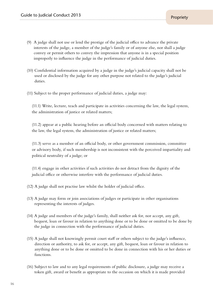(9) A judge shall not use or lend the prestige of the judicial office to advance the private interests of the judge, a member of the judge's family or of anyone else, nor shall a judge convey or permit others to convey the impression that anyone is in a special position improperly to influence the judge in the performance of judicial duties.

Propriety

- (10) Confidential information acquired by a judge in the judge's judicial capacity shall not be used or disclosed by the judge for any other purpose not related to the judge's judicial duties.
- (11) Subject to the proper performance of judicial duties, a judge may:

(11.1) Write, lecture, teach and participate in activities concerning the law, the legal system, the administration of justice or related matters;

(11.2) appear at a public hearing before an official body concerned with matters relating to the law, the legal system, the administration of justice or related matters;

(11.3) serve as a member of an official body, or other government commission, committee or advisory body, if such membership is not inconsistent with the perceived impartiality and political neutrality of a judge; or

(11.4) engage in other activities if such activities do not detract from the dignity of the judicial office or otherwise interfere with the performance of judicial duties.

- (12) A judge shall not practise law whilst the holder of judicial office.
- (13) A judge may form or join associations of judges or participate in other organisations representing the interests of judges.
- (14) A judge and members of the judge's family, shall neither ask for, nor accept, any gift, bequest, loan or favour in relation to anything done or to be done or omitted to be done by the judge in connection with the performance of judicial duties.
- (15) A judge shall not knowingly permit court staff or others subject to the judge's influence, direction or authority, to ask for, or accept, any gift, bequest, loan or favour in relation to anything done or to be done or omitted to be done in connection with his or her duties or functions.
- (16) Subject to law and to any legal requirements of public disclosure, a judge may receive a token gift, award or benefit as appropriate to the occasion on which it is made provided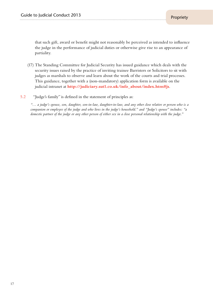that such gift, award or benefit might not reasonably be perceived as intended to influence the judge in the performance of judicial duties or otherwise give rise to an appearance of partiality.

- (17) The Standing Committee for Judicial Security has issued guidance which deals with the security issues raised by the practice of inviting trainee Barristers or Solicitors to sit with judges as marshals to observe and learn about the work of the courts and trial processes. This guidance, together with a (non-mandatory) application form is available on the judicial intranet at **http://judiciary.sut1.co.uk/info\_about/index.htm#js**.
- 5.2 "Judge's family" is defined in the statement of principles as:

*"… a judge's spouse, son, daughter, son-in-law, daughter-in-law, and any other close relative or person who is a companion or employee of the judge and who lives in the judge's household." and "Judge's spouse" includes: "a domestic partner of the judge or any other person of either sex in a close personal relationship with the judge."*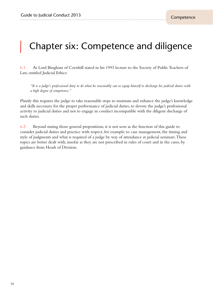### <span id="page-17-0"></span>Chapter six: Competence and diligence

6.1 As Lord Bingham of Cornhill stated in his 1993 lecture to the Society of Public Teachers of Law, entitled Judicial Ethics:

*"It is a judge's professional duty to do what he reasonably can to equip himself to discharge his judicial duties with a high degree of competence."* 

Plainly this requires the judge to take reasonable steps to maintain and enhance the judge's knowledge and skills necessary for the proper performance of judicial duties, to devote the judge's professional activity to judicial duties and not to engage in conduct incompatible with the diligent discharge of such duties.

6.2 Beyond stating those general propositions, it is not seen as the function of this guide to consider judicial duties and practice with respect, for example, to case management, the timing and style of judgments and what is required of a judge by way of attendance at judicial seminars. These topics are better dealt with, insofar as they are not prescribed in rules of court and in the cases, by guidance from Heads of Division.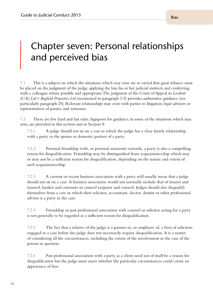### <span id="page-18-0"></span>Chapter seven: Personal relationships and perceived bias

7.1 This is a subject on which the situations which may arise are so varied that great reliance must be placed on the judgment of the judge, applying the law, his or her judicial instincts and conferring with a colleague where possible and appropriate. The judgment of the Court of Appeal in *Locabail (U.K) Ltd v Bayfield Properties Ltd* (mentioned in paragraph 3.5) provides authorative guidance (see particularly paragraph 25). Relevant relationships may exist with parties to litigation, legal advisers or representatives of parties, and witnesses.

7.2 There are few hard and fast rules. Signposts for guidance, in some of the situations which may arise, are provided in this section and in Section 8:

7.2.1 A judge should not sit on a case in which the judge has a close family relationship with a party or the spouse or domestic partner of a party.

7.2.2 Personal friendship with, or personal animosity towards, a party is also a compelling reason for disqualification. Friendship may be distinguished from acquaintanceship which may or may not be a sufficient reason for disqualification, depending on the nature and extent of such acquaintanceship.

7.2.3 A current or recent business association with a party will usually mean that a judge should not sit on a case. A business association would not normally include that of insurer and insured, banker and customer or council taxpayer and council. Judges should also disqualify themselves from a case in which their solicitor, accountant, doctor, dentist or other professional adviser is a party in the case.

7.2.4 Friendship or past professional association with counsel or solicitor acting for a party is not generally to be regarded as a sufficient reason for disqualification.

7.2.5 The fact that a relative of the judge is a partner in, or employee of, a firm of solicitors engaged in a case before the judge does not necessarily require disqualification. It is a matter of considering all the circumstances, including the extent of the involvement in the case of the person in question.

7.2.6 Past professional association with a party as a client need not of itself be a reason for disqualification but the judge must assess whether the particular circumstances could create an appearance of bias.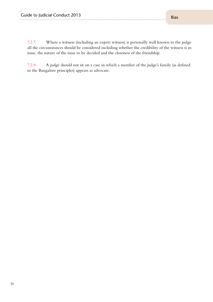7.2.7 Where a witness (including an expert witness) is personally well known to the judge all the circumstances should be considered including whether the credibility of the witness is in issue, the nature of the issue to be decided and the closeness of the friendship.

7.2.8 A judge should not sit on a case in which a member of the judge's family (as defined in the Bangalore principles) appears as advocate.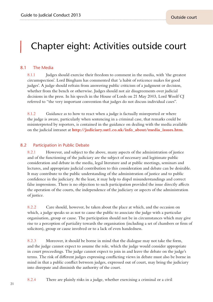### <span id="page-20-0"></span>Chapter eight: Activities outside court

#### 8.1 The Media

8.1.1 Judges should exercise their freedom to comment in the media, with 'the greatest circumspection'. Lord Bingham has commented that 'a habit of reticence makes for good judges'. A judge should refrain from answering public criticism of a judgment or decision, whether from the bench or otherwise. Judges should not air disagreements over judicial decisions in the press. In his speech in the House of Lords on 21 May 2003, Lord Woolf CJ referred to "the very important convention that judges do not discuss individual cases".

8.1.2 Guidance as to how to react when a judge is factually misreported or where the judge is aware, particularly when sentencing in a criminal case, that remarks could be misinterpreted by reporters, is contained in the guidance on dealing with the media available on the judicial intranet at **http://judiciary.sut1.co.uk/info\_about/media\_issues.htm**.

#### 8.2 Participation in Public Debate

8.2.1 However, and subject to the above, many aspects of the administration of justice and of the functioning of the judiciary are the subject of necessary and legitimate public consideration and debate in the media, legal literature and at public meetings, seminars and lectures, and appropriate judicial contribution to this consideration and debate can be desirable. It may contribute to the public understanding of the administration of justice and to public confidence in the judiciary. At the least, it may help to dispel misunderstandings and correct false impressions. There is no objection to such participation provided the issue directly affects the operation of the courts, the independence of the judiciary or aspects of the administration of justice.

8.2.2 Care should, however, be taken about the place at which, and the occasion on which, a judge speaks so as not to cause the public to associate the judge with a particular organisation, group or cause. The participation should not be in circumstances which may give rise to a perception of partiality towards the organisation (including a set of chambers or firm of solicitors), group or cause involved or to a lack of even handedness.

8.2.3 Moreover, it should be borne in mind that the dialogue may not take the form, and the judge cannot expect to assume the role, which the judge would consider appropriate in court proceedings. The judge cannot expect to join in and leave the debate on the judge's terms. The risk of different judges expressing conflicting views in debate must also be borne in mind in that a public conflict between judges, expressed out of court, may bring the judiciary into disrepute and diminish the authority of the court.

8.2.4 There are plainly risks in a judge, whether exercising a criminal or a civil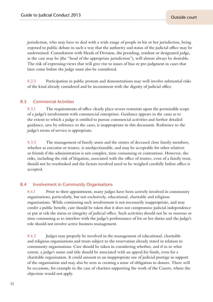jurisdiction, who may have to deal with a wide range of people in his or her jurisdiction, being exposed to public debate in such a way that the authority and status of the judicial office may be undermined. Consultation with Heads of Division, the presiding, resident or designated judge, as the case may be (the "head of the appropriate jurisdiction"), will almost always be desirable. The risk of expressing views that will give rise to issues of bias or pre-judgment in cases that later come before the judge must also be considered.

8.2.5 Participation in public protests and demonstrations may well involve substantial risks of the kind already considered and be inconsistent with the dignity of judicial office

#### 8.3 Commercial Activities

8.3.1 The requirements of office clearly place severe restraints upon the permissible scope of a judge's involvement with commercial enterprises. Guidance appears in the cases as to the extent to which a judge is entitled to pursue commercial activities and further detailed guidance, save by reference to the cases, is inappropriate in this document. Reference to the judge's terms of service is appropriate.

8.3.2 The management of family assets and the estates of deceased close family members, whether as executor or trustee, is unobjectionable, and may be acceptable for other relatives or friends if the administration is not complex, time consuming or contentious. However, the risks, including the risk of litigation, associated with the office of trustee, even of a family trust, should not be overlooked and the factors involved need to be weighed carefully before office is accepted.

#### 8.4 Involvement in Community Organisations

8.4.1 Prior to their appointment, many judges have been actively involved in community organisations, particularly, but not exclusively, educational, charitable and religious organisations. While continuing such involvement is not necessarily inappropriate, and may confer a public benefit, care should be taken that it does not compromise judicial independence or put at risk the status or integrity of judicial office. Such activities should not be so onerous or time consuming as to interfere with the judge's performance of his or her duties and the judge's role should not involve active business management.

8.4.2 Judges may properly be involved in the management of educational, charitable and religious organisations and trusts subject to the reservation already stated in relation to community organisations. Care should be taken in considering whether, and if so to what extent, a judge's name and title should be associated with an appeal for funds, even for a charitable organisation. It could amount to an inappropriate use of judicial prestige in support of the organisation and may also be seen as creating a sense of obligation to donors. There will be occasions, for example in the case of charities supporting the work of the Courts, where the objection would not apply.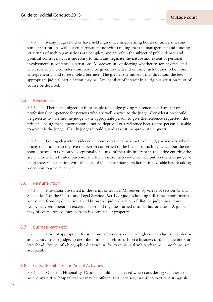8.4.3 Many judges hold or have held high office in governing bodies of universities and similar institutions without embarrassment notwithstanding that the management and funding structures of such organisations are complex, and are often the subject of public debate and political controversy. It is necessary to limit and regulate the nature and extent of personal involvement in contentious situations. Moreover, in considering whether to accept office and what role to play, consideration should be given to the trend of some such bodies to be more entrepreneurial and to resemble a business. The greater the move in that direction, the less appropriate judicial participation may be. Any conflict of interest in a litigious situation must of course be declared.

#### 8.5 References

8.5.1 There is no objection in principle to a judge giving references for character or professional competence for persons who are well known to the judge. Consideration should be given as to whether the judge is the appropriate person to give the reference requested, the principle being that someone should not be deprived of a reference because the person best able to give it is the judge. Plainly judges should guard against inappropriate requests.

8.5.2 Giving character evidence in court or otherwise is not excluded, particularly where it may seem unfair to deprive the person concerned of the benefit of such evidence, but the task should be undertaken only exceptionally because of the risks inherent in the judge entering the arena, albeit for a limited purpose, and the pressure such evidence may put on the trial judge or magistrate. Consultation with the head of the appropriate jurisdiction is advisable before taking a decision to give evidence.

#### 8.6 Remuneration

8.6.1 Provisions are stated in the terms of service. Moreover, by virtue of section 75 and Schedule 11 of the Courts and Legal Services Act 1990 judges holding full-time appointments are barred from legal practice. In addition to a judicial salary, a full-time judge should not receive any remuneration except for fees and royalties earned as an author or editor. A judge may of course receive money from investments or property.

#### 8.7 Business cards etc

8.7.1 It is not appropriate for someone who sits as a deputy high court judge, a recorder or as a deputy district judge, to describe him or herself as such on a business card, cheque book or letterhead. Entries of a biographical nature in, for example, a firm's or chambers' brochure, are acceptable.

#### 8.8 Gifts, Hospitality and Social Activities

8.8.1 Gifts and Hospitality. Caution should be exercised when considering whether to accept any gift or hospitality that may be offered. It is necessary in this context to distinguish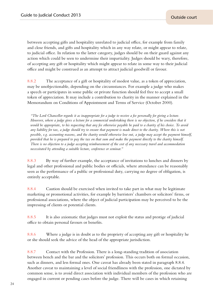between accepting gifts and hospitality unrelated to judicial office, for example from family and close friends, and gifts and hospitality which in any way relate, or might appear to relate, to judicial office. In relation to the latter category, judges should be on their guard against any action which could be seen to undermine their impartiality. Judges should be wary, therefore, of accepting any gift or hospitality which might appear to relate in some way to their judicial office and might be construed as an attempt to attract judicial goodwill or favour.

8.8.2 The acceptance of a gift or hospitality of modest value, as a token of appreciation, may be unobjectionable, depending on the circumstances. For example a judge who makes a speech or participates in some public or private function should feel free to accept a small token of appreciation. It may include a contribution to charity in the manner explained in the Memorandum on Conditions of Appointment and Terms of Service (October 2000).

*"The Lord Chancellor regards it as inappropriate for a judge to receive a fee personally for giving a lecture.*  However, where a judge gives a lecture for a commercial undertaking there is no objection, if he considers that it would be appropriate, to his requesting that any fee otherwise payable be paid to a charity of his choice. To avoid any liability for tax, a judge should try to ensure that payment is made direct to the charity. Where this is not *possible, e.g. accounting reasons, and the charity would otherwise lose out, a judge may accept the payment himself, provided that he is prepared to pay the tax on that sum and make the payment directly to the charity himself. There is no objection to a judge accepting reimbursement of the cost of any necessary travel and accommodation necessitated by attending a suitable lecture, conference or seminar."* 

8.8.3 By way of further example, the acceptance of invitations to lunches and dinners by legal and other professional and public bodies or officials, where attendance can be reasonably seen as the performance of a public or professional duty, carrying no degree of obligation, is entirely acceptable.

8.8.4 Caution should be exercised when invited to take part in what may be legitimate marketing or promotional activities, for example by barristers' chambers or solicitors' firms, or professional associations, where the object of judicial participation may be perceived to be the impressing of clients or potential clients.

8.8.5 It is also axiomatic that judges must not exploit the status and prestige of judicial office to obtain personal favours or benefits.

8.8.6 Where a judge is in doubt as to the propriety of accepting any gift or hospitality he or she should seek the advice of the head of the appropriate jurisdiction.

8.8.7 Contact with the Profession. There is a long-standing tradition of association between bench and the bar and the solicitors' profession. This occurs both on formal occasion, such as dinners, and less formal ones. One caveat has already been stated in paragraph 8.8.4. Another caveat to maintaining a level of social friendliness with the profession, one dictated by common sense, is to avoid direct association with individual members of the profession who are engaged in current or pending cases before the judge. There will be cases in which retaining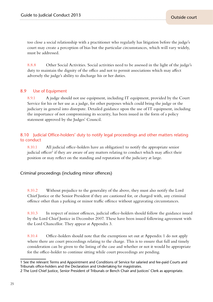too close a social relationship with a practitioner who regularly has litigation before the judge's court may create a perception of bias but the particular circumstances, which will vary widely, must be addressed.

8.8.8 Other Social Activities. Social activities need to be assessed in the light of the judge's duty to maintain the dignity of the office and not to permit associations which may affect adversely the judge's ability to discharge his or her duties.

#### 8.9 Use of Equipment

8.9.1 A judge should not use equipment, including IT equipment, provided by the Court Service for his or her use as a judge, for other purposes which could bring the judge or the judiciary in general into disrepute. Detailed guidance upon the use of IT equipment, including the importance of not compromising its security, has been issued in the form of a policy statement approved by the Judges' Council.

#### 8.10 Judicial Office-holders' duty to notify legal proceedings and other matters relating to conduct

8.10.1 All judicial office-holders have an obligation1 to notify the appropriate senior judicial officer<sup>2</sup> if they are aware of any matters relating to conduct which may affect their position or may reflect on the standing and reputation of the judiciary at large.

#### Criminal proceedings (including minor offences)

8.10.2 Without prejudice to the generality of the above, they must also notify the Lord Chief Justice or the Senior President if they are cautioned for, or charged with, any criminal offence other than a parking or minor traffic offence without aggravating circumstances.

8.10.3 In respect of minor offences, judicial office-holders should follow the guidance issued by the Lord Chief Justice in December 2007. These have been issued following agreement with the Lord Chancellor. They appear at Appendix 3.

8.10.4 Office-holders should note that the exemptions set out at Appendix 1 do not apply where there are court proceedings relating to the charge. This is to ensure that full and timely consideration can be given to the listing of the case and whether or not it would be appropriate for the office-holder to continue sitting while court proceedings are pending.

<sup>1</sup> See the relevant Terms and Appointment and Conditions of Service for salaried and fee-paid Courts and Tribunals office-holders and the Declaration and Undertaking for magistrates.

<sup>2</sup> The Lord Chief Justice, Senior President of Tribunals or Bench Chair and Justices' Clerk as appropriate.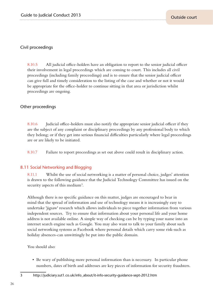#### Civil proceedings

8.10.5 All judicial office-holders have an obligation to report to the senior judicial officer their involvement in legal proceedings which are coming to court. This includes all civil proceedings (including family proceedings) and is to ensure that the senior judicial officer can give full and timely consideration to the listing of the case and whether or not it would be appropriate for the office-holder to continue sitting in that area or jurisdiction whilst proceedings are ongoing.

#### Other proceedings

8.10.6 Judicial office-holders must also notify the appropriate senior judicial officer if they are the subject of any complaint or disciplinary proceedings by any professional body to which they belong; or if they get into serious financial difficulties particularly where legal proceedings are or are likely to be initiated.

8.10.7 Failure to report proceedings as set out above could result in disciplinary action.

#### 8.11 Social Networking and Blogging

8.11.1 Whilst the use of social networking is a matter of personal choice, judges' attention is drawn to the following guidance that the Judicial Technology Committee has issued on the security aspects of this medium<sup>3</sup>.

Although there is no specific guidance on this matter, judges are encouraged to bear in mind that the spread of information and use of technology means it is increasingly easy to undertake 'jigsaw' research which allows individuals to piece together information from various independent sources. Try to ensure that information about your personal life and your home address is not available online. A simple way of checking can be by typing your name into an internet search engine such as Google. You may also want to talk to your family about such social networking systems as Facebook where personal details which carry some risk-such as holiday absences-can unwittingly be put into the public domain.

You should also:

- Be wary of publishing more personal information than is necessary. In particular phone numbers, dates of birth and addresses are key pieces of information for security fraudsters.
- 3 http://judiciary.sut1.co.uk/info\_about/it-info-security-guidance-sept-2012.htm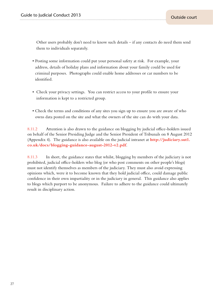Other users probably don't need to know such details – if any contacts do need them send them to individuals separately.

- Posting some information could put your personal safety at risk. For example, your address, details of holiday plans and information about your family could be used for criminal purposes. Photographs could enable home addresses or car numbers to be identified.
- Check your privacy settings. You can restrict access to your profile to ensure your information is kept to a restricted group.
- Check the terms and conditions of any sites you sign up to ensure you are aware of who owns data posted on the site and what the owners of the site can do with your data.

8.11.2 Attention is also drawn to the guidance on blogging by judicial office-holders issued on behalf of the Senior Presiding Judge and the Senior President of Tribunals on 8 August 2012 (Appendix 4). The guidance is also available on the judicial intranet at **http://judiciary.sut1. co.uk/docs/blogging-guidance-august-2012-v2.pdf**.

8.11.3 In short, the guidance states that whilst, blogging by members of the judiciary is not prohibited, judicial office-holders who blog (or who post comments on other people's blogs) must not identify themselves as members of the judiciary. They must also avoid expressing opinions which, were it to become known that they hold judicial office, could damage public confidence in their own impartiality or in the judiciary in general. This guidance also applies to blogs which purport to be anonymous. Failure to adhere to the guidance could ultimately result in disciplinary action.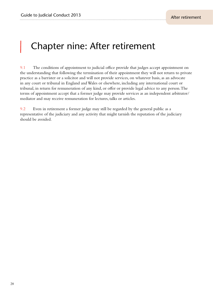### <span id="page-27-0"></span>Chapter nine: After retirement

9.1 The conditions of appointment to judicial office provide that judges accept appointment on the understanding that following the termination of their appointment they will not return to private practice as a barrister or a solicitor and will not provide services, on whatever basis, as an advocate in any court or tribunal in England and Wales or elsewhere, including any international court or tribunal, in return for remuneration of any kind, or offer or provide legal advice to any person. The terms of appointment accept that a former judge may provide services as an independent arbitrator/ mediator and may receive remuneration for lectures, talks or articles.

9.2 Even in retirement a former judge may still be regarded by the general public as a representative of the judiciary and any activity that might tarnish the reputation of the judiciary should be avoided.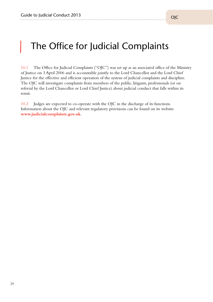### <span id="page-28-0"></span>The Office for Judicial Complaints

10.1 The Office for Judicial Complaints ("OJC") was set up as an associated office of the Ministry of Justice on 3 April 2006 and is accountable jointly to the Lord Chancellor and the Lord Chief Justice for the effective and efficient operation of the system of judicial complaints and discipline. The OJC will investigate complaints from members of the public, litigants, professionals (or on referral by the Lord Chancellor or Lord Chief Justice) about judicial conduct that falls within its remit.

10.2 Judges are expected to co-operate with the OJC in the discharge of its functions. Information about the OJC and relevant regulatory provisions can be found on its website **www.judicialcomplaints.gov.uk**.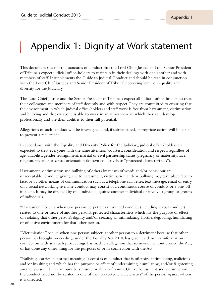### <span id="page-29-0"></span>Appendix 1: Dignity at Work statement

This document sets out the standards of conduct that the Lord Chief Justice and the Senior President of Tribunals expect judicial office-holders to maintain in their dealings with one another and with members of staff. It supplements the Guide to Judicial Conduct and should be read in conjunction with the Lord Chief Justice's and Senior President of Tribunals' covering letter on equality and diversity for the Judiciary.

The Lord Chief Justice and the Senior President of Tribunals expect all judicial office-holders to treat their colleagues and members of staff decently and with respect. They are committed to ensuring that the environment in which judicial office-holders and staff work is free from harassment, victimisation and bullying and that everyone is able to work in an atmosphere in which they can develop professionally and use their abilities to their full potential.

Allegations of such conduct will be investigated and, if substantiated, appropriate action will be taken to prevent a recurrence.

In accordance with the Equality and Diversity Policy for the Judiciary, judicial office-holders are expected to treat everyone with the same attention, courtesy, consideration and respect, regardless of age, disability, gender reassignment, marital or civil partnership status, pregnancy or maternity, race, religion, sex and/or sexual orientation (known collectively as "protected characteristics").

Harassment, victimisation and bullying of others by means of words and/or behaviour are unacceptable. Conduct giving rise to harassment, victimisation and/or bullying may take place face to face, or by other means of communication such as a telephone call, letter, text message, email or entry on a social networking site. The conduct may consist of a continuous course of conduct or a one-off incident. It may be directed by one individual against another individual or involve a group or groups of individuals.

"Harassment" occurs when one person perpetrates unwanted conduct (including sexual conduct) related to one or more of another person's protected characteristics which has the purpose or effect of violating that other person's dignity and/or creating an intimidating, hostile, degrading, humiliating or offensive environment for that other person.

"Victimisation" occurs when one person subjects another person to a detriment because that other person has brought proceedings under the Equality Act 2010, has given evidence or information in connection with any such proceedings, has made an allegation that someone has contravened the Act, or has done any other thing for the purposes of or in connection with the Act.

"Bullying" carries its normal meaning. It consists of conduct that is offensive, intimidating, malicious and/or insulting and which has the purpose or effect of undermining, humiliating, and/or frightening another person. It may amount to a misuse or abuse of power. Unlike harassment and victimisation, the conduct need not be related to one of the "protected characteristics" of the person against whom it is directed.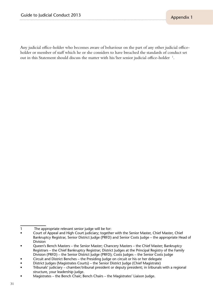Any judicial office-holder who becomes aware of behaviour on the part of any other judicial officeholder or member of staff which he or she considers to have breached the standards of conduct set out in this Statement should discuss the matter with his/her senior judicial office-holder<sup>1</sup>.

<sup>1</sup> The appropriate relevant senior judge will be for:

Court of Appeal and High Court judiciary; together with the Senior Master, Chief Master, Chief Bankruptcy Registrar, Senior District Judge (PRFD) and Senior Costs Judge – the appropriate Head of Division

Queen's Bench Masters – the Senior Master; Chancery Masters – the Chief Master; Bankruptcy Registrars – the Chief Bankruptcy Registrar; District Judges at the Principal Registry of the Family Division (PRFD) – the Senior District Judge (PRFD); Costs Judges – the Senior Costs Judge

Circuit and District Benches – the Presiding Judge on circuit or his or her delegate

<sup>•</sup> District Judges (Magistrates Courts) – the Senior District Judge (Chief Magistrate)

Tribunals' judiciary – chamber/tribunal president or deputy president; in tribunals with a regional structure, your leadership judge.

Magistrates – the Bench Chair; Bench Chairs – the Magistrates' Liaison Judge.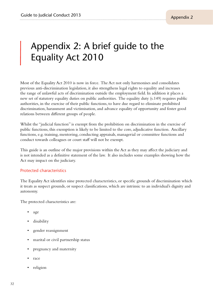### <span id="page-31-0"></span>Appendix 2: A brief guide to the Equality Act 2010

Most of the Equality Act 2010 is now in force. The Act not only harmonises and consolidates previous anti-discrimination legislation, it also strengthens legal rights to equality and increases the range of unlawful acts of discrimination outside the employment field. In addition it places a new set of statutory equality duties on public authorities. The equality duty (s.149) requires public authorities, in the exercise of their public functions, to have due regard to eliminate prohibited discrimination, harassment and victimisation, and advance equality of opportunity and foster good relations between different groups of people.

Whilst the "judicial function" is exempt from the prohibition on discrimination in the exercise of public functions, this exemption is likely to be limited to the core, adjudicative function. Ancillary functions, e.g. training, mentoring, conducting appraisals, managerial or committee functions and conduct towards colleagues or court staff will not be exempt.

This guide is an outline of the major provisions within the Act as they may affect the judiciary and is not intended as a definitive statement of the law. It also includes some examples showing how the Act may impact on the judiciary.

#### Protected characteristics

The Equality Act identifies nine protected characteristics, or specific grounds of discrimination which it treats as suspect grounds, or suspect classifications, which are intrinsic to an individual's dignity and autonomy.

The protected characteristics are:

- age
- disability
- gender reassignment
- marital or civil partnership status
- pregnancy and maternity
- race
- religion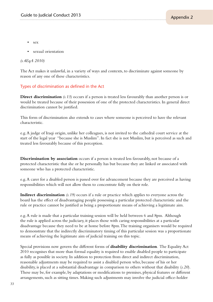- sex
- sexual orientation

#### *(s.4EqA 2010)*

The Act makes it unlawful, in a variety of ways and contexts, to discriminate against someone by reason of any one of these characteristics.

#### Types of discrimination as defined in the Act

**Direct discrimination** (s. 13) occurs if a person is treated less favourably than another person is or would be treated because of their possession of one of the protected characteristics. In general direct discrimination cannot be justified.

This form of discrimination also extends to cases where someone is perceived to have the relevant characteristic.

e.g. A judge of Iraqi origin, unlike her colleagues, is not invited to the cathedral court service at the start of the legal year "because she is Muslim". In fact she is not Muslim, but is perceived as such and treated less favourably because of this perception.

**Discrimination by association** occurs if a person is treated less favourably, not because of a protected characteristic that she or he personally has but because they are linked or associated with someone who has a protected characteristic.

e.g. A carer for a disabled person is passed over for advancement because they are perceived as having responsibilities which will not allow them to concentrate fully on their role.

**Indirect discrimination** *(s.19)* occurs if a rule or practice which applies to everyone across the board has the effect of disadvantaging people possessing a particular protected characteristic and the rule or practice cannot be justified as being a proportionate means of achieving a legitimate aim.

e.g. A rule is made that a particular training session will be held between 6 and 8pm. Although the rule is applied across the judiciary, it places those with caring responsibilities at a particular disadvantage because they need to be at home before 8pm. The training organisers would be required to demonstrate that the indirectly discriminatory timing of this particular session was a proportionate means of achieving the legitimate aim of judicial training on this topic.

Special provisions now govern the different forms of **disability discrimination**. The Equality Act 2010 recognises that more than formal equality is required to enable disabled people to participate as fully as possible in society. In addition to protection from direct and indirect discrimination, reasonable adjustments may be required to assist a disabled person who, because of his or her disability, is placed at a substantial disadvantage in comparison to others without that disability (*s.20*). These may be, for example, by adaptations or modifications to premises, physical features or different arrangements, such as sitting times. Making such adjustments may involve the judicial office-holder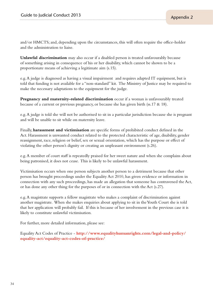and/or HMCTS; and, depending upon the circumstances, this will often require the office-holder and the administration to liaise.

**Unlawful discrimination** may also occur if a disabled person is treated unfavourably because of something arising in consequence of his or her disability, which cannot be shown to be a proportionate means of achieving a legitimate aim (s.15).

e.g. A judge is diagnosed as having a visual impairment and requires adapted IT equipment, but is told that funding is not available for a "non-standard" kit. The Ministry of Justice may be required to make the necessary adaptations to the equipment for the judge.

**Pregnancy and maternity-related discrimination** occur if a woman is unfavourably treated because of a current or previous pregnancy, or because she has given birth (ss.17 & 18).

e.g. A judge is told she will not be authorised to sit in a particular jurisdiction because she is pregnant and will be unable to sit while on maternity leave.

Finally, **harassment and victimisation** are specific forms of prohibited conduct defined in the Act. Harassment is unwanted conduct related to the protected characteristic of age, disability, gender reassignment, race, religion or belief, sex or sexual orientation, which has the purpose or effect of violating the other person's dignity or creating an unpleasant environment (s.26).

e.g. A member of court staff is repeatedly praised for her sweet nature and when she complains about being patronised, it does not cease. This is likely to be unlawful harassment.

Victimisation occurs when one person subjects another person to a detriment because that other person has brought proceedings under the Equality Act 2010, has given evidence or information in connection with any such proceedings, has made an allegation that someone has contravened the Act, or has done any other thing for the purposes of or in connection with the Act (s.27).

e.g. A magistrate supports a fellow magistrate who makes a complaint of discrimination against another magistrate. When she makes enquiries about applying to sit in the Youth Court she is told that her application will probably fail. If this is because of her involvement in the previous case it is likely to constitute unlawful victimisation.

For further, more detailed information, please see:

Equality Act Codes of Practice - **http://www.equalityhumanrights.com/legal-and-policy/ equality-act/equality-act-codes-of-practice/**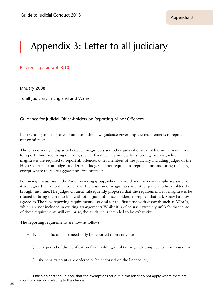### <span id="page-34-0"></span>Appendix 3: Letter to all judiciary

Reference paragraph 8.10

January 2008

To all Judiciary in England and Wales:

Guidance for Judicial Office-holders on Reporting Minor Offences

I am writing to bring to your attention the new guidance governing the requirements to report minor offences<sup>1</sup>.

There is currently a disparity between magistrates and other judicial office-holders in the requirement to report minor motoring offences, such as fixed penalty notices for speeding. In short, whilst magistrates are required to report all offences, other members of the judiciary, including Judges of the High Court, Circuit Judges and District Judges are not required to report minor motoring offences, except where there are aggravating circumstances.

Following discussions at the Arden working group, when it considered the new disciplinary system, it was agreed with Lord Falconer that the position of magistrates and other judicial office-holders be brought into line. The Judges Council subsequently proposed that the requirements for magistrates be relaxed to bring them into line with other judicial office-holders, a proposal that Jack Straw has now agreed to. The new reporting requirements also deal for the first time with disposals such as ASBOs, which are not included in existing arrangements. Whilst it is of course extremely unlikely that some of these requirements will ever arise, the guidance is intended to be exhaustive.

The reporting requirements are now as follows:

- Road Traffic offences need only be reported if on conviction:
	- ◊ any period of disqualification from holding or obtaining a driving licence is imposed, or,
	- $\Diamond$  six penalty points are ordered to be endorsed on the licence, or,

<sup>1</sup> Office-holders should note that the exemptions set out in this letter do not apply where there are court proceedings relating to the charge.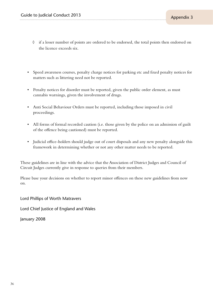- ◊ if a lesser number of points are ordered to be endorsed, the total points then endorsed on the licence exceeds six.
- • Speed awareness courses, penalty charge notices for parking etc and fixed penalty notices for matters such as littering need not be reported.
- Penalty notices for disorder must be reported, given the public order element, as must cannabis warnings, given the involvement of drugs.
- • Anti Social Behaviour Orders must be reported, including those imposed in civil proceedings.
- All forms of formal recorded caution (i.e. those given by the police on an admission of guilt of the offence being cautioned) must be reported.
- Judicial office-holders should judge out of court disposals and any new penalty alongside this framework in determining whether or not any other matter needs to be reported.

These guidelines are in line with the advice that the Association of District Judges and Council of Circuit Judges currently give in response to queries from their members.

Please base your decisions on whether to report minor offences on these new guidelines from now on.

Lord Phillips of Worth Matravers

Lord Chief Justice of England and Wales

January 2008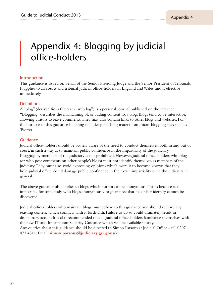### <span id="page-36-0"></span>Appendix 4: Blogging by judicial office-holders

#### Introduction

This guidance is issued on behalf of the Senior Presiding Judge and the Senior President of Tribunals. It applies to all courts and tribunal judicial office-holders in England and Wales, and is effective immediately.

#### **Definitions**

A "blog" (derived from the term "web log") is a personal journal published on the internet. "Blogging" describes the maintaining of, or adding content to, a blog. Blogs tend to be interactive, allowing visitors to leave comments. They may also contain links to other blogs and websites. For the purpose of this guidance blogging includes publishing material on micro-blogging sites such as Twitter.

#### Guidance

Judicial office-holders should be acutely aware of the need to conduct themselves, both in and out of court, in such a way as to maintain public confidence in the impartiality of the judiciary. Blogging by members of the judiciary is not prohibited. However, judicial office-holders who blog (or who post comments on other people's blogs) must not identify themselves as members of the judiciary. They must also avoid expressing opinions which, were it to become known that they hold judicial office, could damage public confidence in their own impartiality or in the judiciary in general.

The above guidance also applies to blogs which purport to be anonymous. This is because it is impossible for somebody who blogs anonymously to guarantee that his or her identity cannot be discovered.

Judicial office-holders who maintain blogs must adhere to this guidance and should remove any existing content which conflicts with it forthwith. Failure to do so could ultimately result in disciplinary action. It is also recommended that all judicial office-holders familiarise themselves with the new IT and Information Security Guidance which will be available shortly. Any queries about this guidance should be directed to Simon Parsons at Judicial Office - tel: 0207 073 4811. Email: **simon.parsons@judiciary.gsi.gov.uk**